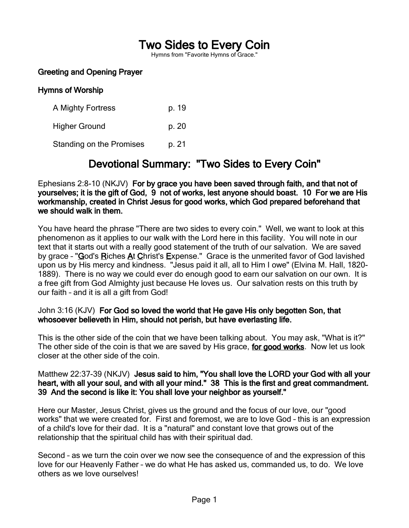# Two Sides to Every Coin

Hymns from "Favorite Hymns of Grace."

### Greeting and Opening Prayer

#### Hymns of Worship

A Mighty Fortress p. 19 Higher Ground b. 20 Standing on the Promises b. 21

## Devotional Summary: "Two Sides to Every Coin"

Ephesians 2:8-10 (NKJV) For by grace you have been saved through faith, and that not of yourselves; it is the gift of God, 9 not of works, lest anyone should boast. 10 For we are His workmanship, created in Christ Jesus for good works, which God prepared beforehand that we should walk in them.

You have heard the phrase "There are two sides to every coin." Well, we want to look at this phenomenon as it applies to our walk with the Lord here in this facility. You will note in our text that it starts out with a really good statement of the truth of our salvation. We are saved by grace - "God's Riches At Christ's Expense." Grace is the unmerited favor of God lavished upon us by His mercy and kindness. "Jesus paid it all, all to Him I owe" (Elvina M. Hall, 1820- 1889). There is no way we could ever do enough good to earn our salvation on our own. It is a free gift from God Almighty just because He loves us. Our salvation rests on this truth by our faith – and it is all a gift from God!

#### John 3:16 (KJV) For God so loved the world that He gave His only begotten Son, that whosoever believeth in Him, should not perish, but have everlasting life.

This is the other side of the coin that we have been talking about. You may ask, "What is it?" The other side of the coin is that we are saved by His grace, for good works. Now let us look closer at the other side of the coin.

#### Matthew 22:37-39 (NKJV) Jesus said to him, "You shall love the LORD your God with all your heart, with all your soul, and with all your mind." 38 This is the first and great commandment. 39 And the second is like it: You shall love your neighbor as yourself."

Here our Master, Jesus Christ, gives us the ground and the focus of our love, our "good works" that we were created for. First and foremost, we are to love God – this is an expression of a child's love for their dad. It is a "natural" and constant love that grows out of the relationship that the spiritual child has with their spiritual dad.

Second – as we turn the coin over we now see the consequence of and the expression of this love for our Heavenly Father – we do what He has asked us, commanded us, to do. We love others as we love ourselves!